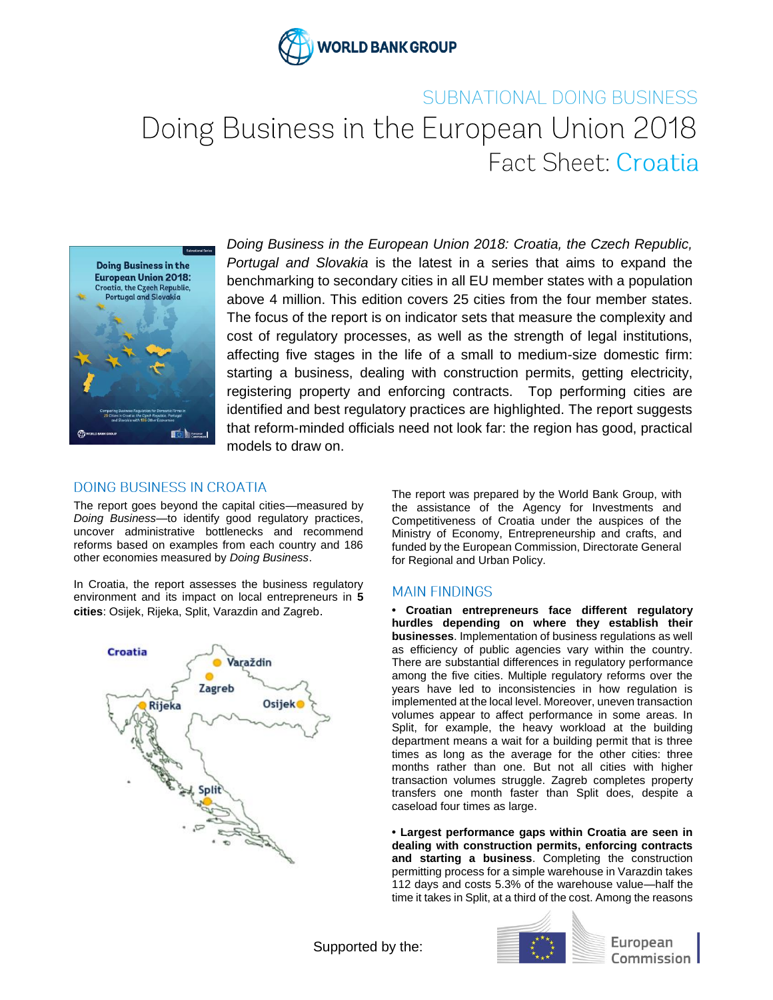

# SUBNATIONAL DOING BUSINESS Doing Business in the European Union 2018 Fact Sheet: Croatia



*Doing Business in the European Union 2018: Croatia, the Czech Republic, Portugal and Slovakia* is the latest in a series that aims to expand the benchmarking to secondary cities in all EU member states with a population above 4 million. This edition covers 25 cities from the four member states. The focus of the report is on indicator sets that measure the complexity and cost of regulatory processes, as well as the strength of legal institutions, affecting five stages in the life of a small to medium-size domestic firm: starting a business, dealing with construction permits, getting electricity, registering property and enforcing contracts. Top performing cities are identified and best regulatory practices are highlighted. The report suggests that reform-minded officials need not look far: the region has good, practical models to draw on.

#### **DOING BUSINESS IN CROATIA**

The report goes beyond the capital cities—measured by *Doing Business—*to identify good regulatory practices, uncover administrative bottlenecks and recommend reforms based on examples from each country and 186 other economies measured by *Doing Business*.

In Croatia, the report assesses the business regulatory environment and its impact on local entrepreneurs in **5 cities**: Osijek, Rijeka, Split, Varazdin and Zagreb.



The report was prepared by the World Bank Group, with the assistance of the Agency for Investments and Competitiveness of Croatia under the auspices of the Ministry of Economy, Entrepreneurship and crafts, and funded by the European Commission, Directorate General for Regional and Urban Policy.

#### **MAIN FINDINGS**

**• Croatian entrepreneurs face different regulatory hurdles depending on where they establish their businesses**. Implementation of business regulations as well as efficiency of public agencies vary within the country. There are substantial differences in regulatory performance among the five cities. Multiple regulatory reforms over the years have led to inconsistencies in how regulation is implemented at the local level. Moreover, uneven transaction volumes appear to affect performance in some areas. In Split, for example, the heavy workload at the building department means a wait for a building permit that is three times as long as the average for the other cities: three months rather than one. But not all cities with higher transaction volumes struggle. Zagreb completes property transfers one month faster than Split does, despite a caseload four times as large.

**• Largest performance gaps within Croatia are seen in dealing with construction permits, enforcing contracts and starting a business**. Completing the construction permitting process for a simple warehouse in Varazdin takes 112 days and costs 5.3% of the warehouse value—half the time it takes in Split, at a third of the cost. Among the reasons

Supported by the:



European Commission